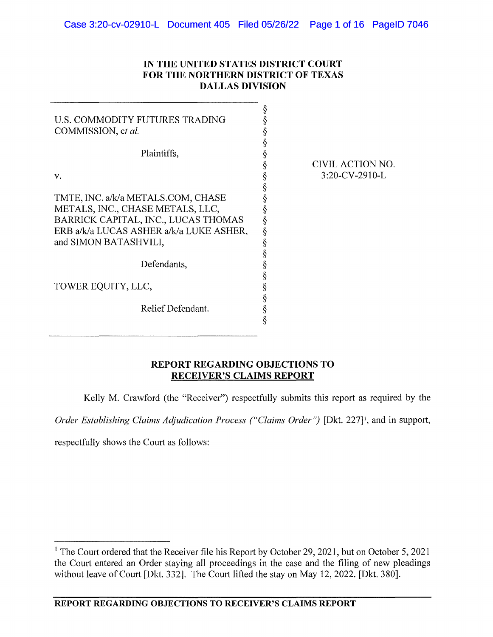## **IN THE UNITED STATES DISTRICT COURT FOR THE NORTHERN DISTRICT OF TEXAS DALLAS DIVISION**

| U.S. COMMODITY FUTURES TRADING<br>COMMISSION, et al. | Š<br>§<br>ş<br>§ |                  |
|------------------------------------------------------|------------------|------------------|
| Plaintiffs,                                          |                  |                  |
|                                                      | §                | CIVIL ACTION NO. |
| v.                                                   | §                | 3:20-CV-2910-L   |
|                                                      | §                |                  |
| TMTE, INC. a/k/a METALS.COM, CHASE                   | ş                |                  |
| METALS, INC., CHASE METALS, LLC,                     |                  |                  |
| BARRICK CAPITAL, INC., LUCAS THOMAS                  | §                |                  |
| ERB a/k/a LUCAS ASHER a/k/a LUKE ASHER,              | §                |                  |
| and SIMON BATASHVILI,                                | §                |                  |
|                                                      | §                |                  |
| Defendants,                                          |                  |                  |
|                                                      |                  |                  |
| TOWER EQUITY, LLC,                                   | §                |                  |
|                                                      | §                |                  |
| Relief Defendant.                                    | §                |                  |
|                                                      | §                |                  |
|                                                      |                  |                  |

## **REPORT REGARDING OBJECTIONS TO RECEIVER'S CLAIMS REPORT**

Kelly M. Crawford (the "Receiver") respectfully submits this report as required by the

Order Establishing Claims Adjudication Process ("Claims Order") [Dkt. 227]<sup>1</sup>, and in support,

respectfully shows the Court as follows:

<sup>&</sup>lt;sup>1</sup> The Court ordered that the Receiver file his Report by October 29, 2021, but on October 5, 2021 the Comt entered an Order staying all proceedings in the case and the filing of new pleadings without leave of Court [Dkt. 332]. The Court lifted the stay on May 12, 2022. [Dkt. 380].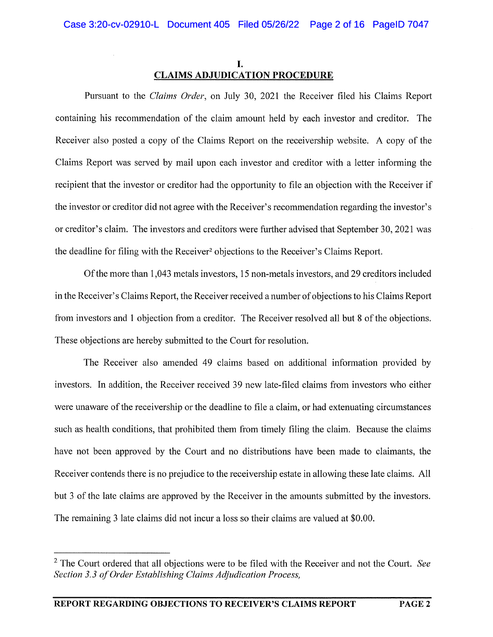# I. **CLAIMS ADJUDICATION PROCEDURE**

Pursuant to the *Claims Order,* on July 30, 2021 the Receiver filed his Claims Report containing his recommendation of the claim amount held by each investor and creditor. The Receiver also posted a copy of the Claims Report on the receivership website. A copy of the Claims Report was served by mail upon each investor and creditor with a letter informing the recipient that the investor or creditor had the opportunity to file an objection with the Receiver if the investor or creditor did not agree with the Receiver's recommendation regarding the investor's or creditor's claim. The investors and creditors were further advised that September 30, 2021 was the deadline for filing with the Receiver2 objections to the Receiver's Claims Report.

Of the more than 1,043 metals investors, 15 non-metals investors, and 29 creditors included in the Receiver's Claims Report, the Receiver received a number of objections to his Claims Report from investors and 1 objection from a creditor. The Receiver resolved all but 8 of the objections. These objections are hereby submitted to the Court for resolution.

The Receiver also amended 49 claims based on additional information provided by investors. In addition, the Receiver received 39 new late-filed claims from investors who either were unaware of the receivership or the deadline to file a claim, or had extenuating circumstances such as health conditions, that prohibited them from timely filing the claim. Because the claims have not been approved by the Court and no distributions have been made to claimants, the Receiver contends there is no prejudice to the receivership estate in allowing these late claims. All but 3 of the late claims are approved by the Receiver in the amounts submitted by the investors. The remaining 3 late claims did not incur a loss so their claims are valued at \$0.00.

<sup>&</sup>lt;sup>2</sup> The Court ordered that all objections were to be filed with the Receiver and not the Court. *See Section 3.3 of Order Establishing Claims Adjudication Process,*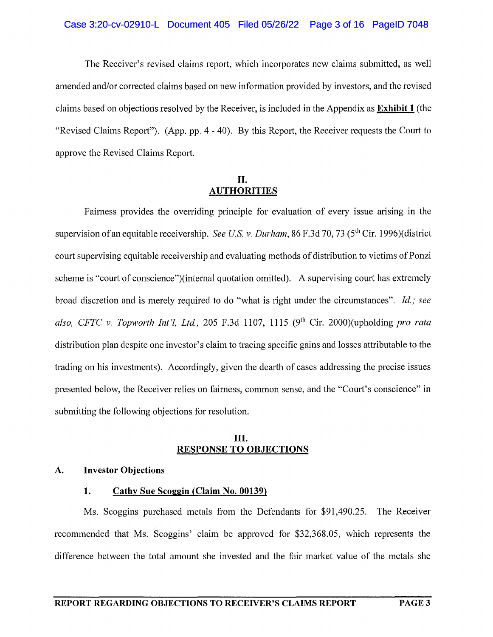#### Case 3:20-cv-02910-L Document 405 Filed 05/26/22 Page 3 of 16 PageID 7048

The Receiver's revised claims report, which incorporates new claims submitted, as well amended and/or corrected claims based on new information provided by investors, and the revised claims based on objections resolved by the Receiver, is included in the Appendix as **Exhibit 1** (the "Revised Claims Report"). (App. pp. 4 - 40). By this Report, the Receiver requests the Court to approve the Revised Claims Report.

## **II. AUTHORITIES**

Fairness provides the overriding principle for evaluation of every issue arising in the supervision of an equitable receivership. *See US. v. Durham,* 86 F.3d 70, 73 (5th Cir. 1996)( district court supervising equitable receivership and evaluating methods of distribution to victims of Ponzi scheme is "court of conscience")(internal quotation omitted). A supervising court has extremely broad discretion and is merely required to do "what is right under the circumstances". *Id.; see* also, CFTC v. Topworth Int'l, Ltd., 205 F.3d 1107, 1115 (9<sup>th</sup> Cir. 2000)(upholding *pro rata* distribution plan despite one investor's claim to tracing specific gains and losses attributable to the trading on his investments). Accordingly, given the dearth of cases addressing the precise issues presented below, the Receiver relies on fairness, common sense, and the "Court's conscience" in submitting the following objections for resolution.

## **III. RESPONSE TO OBJECTIONS**

## **A. Investor Objections**

## **1. Cathy Sue Scoggin (Claim No. 00139)**

Ms. Scoggins purchased metals from the Defendants for \$91,490.25. The Receiver recommended that Ms. Scoggins' claim be approved for \$32,368.05, which represents the difference between the total amount she invested and the fair market value of the metals she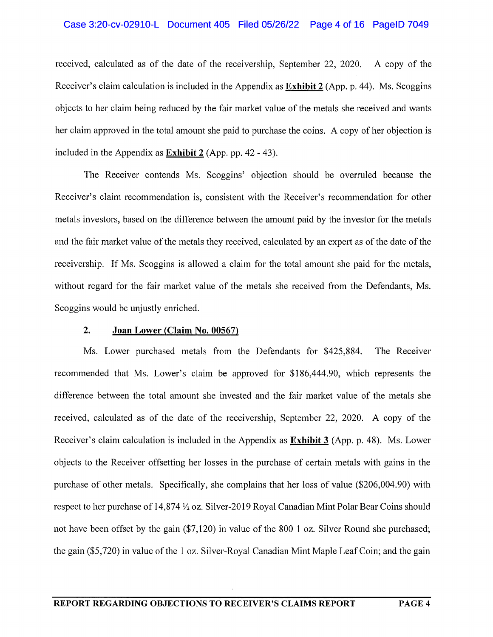### Case 3:20-cv-02910-L Document 405 Filed 05/26/22 Page 4 of 16 PageID 7049

received, calculated as of the date of the receivership, September 22, 2020. A copy of the Receiver's claim calculation is included in the Appendix as **Exhibit 2** (App. p. 44). Ms. Scoggins objects to her claim being reduced by the fair market value of the metals she received and wants her claim approved in the total amount she paid to purchase the coins. A copy of her objection is included in the Appendix as **Exhibit 2** (App. pp. 42 - 43).

The Receiver contends Ms. Scoggins' objection should be overruled because the Receiver's claim recommendation is, consistent with the Receiver's recommendation for other metals investors, based on the difference between the amount paid by the investor for the metals and the fair market value of the metals they received, calculated by an expert as of the date of the receivership. If Ms. Scoggins is allowed a claim for the total amount she paid for the metals, without regard for the fair market value of the metals she received from the Defendants, Ms. Scoggins would be unjustly enriched.

#### **2. Joan Lower (Claim No. 00567)**

Ms. Lower purchased metals from the Defendants for \$425,884. The Receiver recommended that Ms. Lower's claim be approved for \$186,444.90, which represents the difference between the total amount she invested and the fair market value of the metals she received, calculated as of the date of the receivership, September 22, 2020. A copy of the Receiver's claim calculation is included in the Appendix as **Exhibit 3** (App. p. 48). Ms. Lower objects to the Receiver offsetting her losses in the purchase of certain metals with gains in the purchase of other metals. Specifically, she complains that her loss of value (\$206,004.90) with respect to her purchase of 14,874 *Yi* oz. Silver-2019 Royal Canadian Mint Polar Bear Coins should not have been offset by the gain (\$7, 120) in value of the 800 1 oz. Silver Round she purchased; the gain (\$5,720) in value of the 1 oz. Silver-Royal Canadian Mint Maple Leaf Coin; and the gain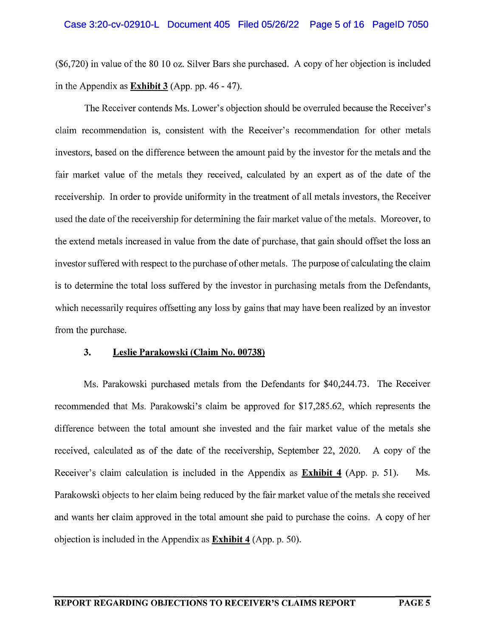#### Case 3:20-cv-02910-L Document 405 Filed 05/26/22 Page 5 of 16 PageID 7050

 $(\$6,720)$  in value of the 80 10 oz. Silver Bars she purchased. A copy of her objection is included in the Appendix as **Exhibit 3** (App. pp. 46 - 47).

The Receiver contends Ms. Lower's objection should be overruled because the Receiver's claim recommendation is, consistent with the Receiver's recommendation for other metals investors, based on the difference between the amount paid by the investor for the metals and the fair market value of the metals they received, calculated by an expert as of the date of the receivership. In order to provide uniformity in the treatment of all metals investors, the Receiver used the date of the receivership for determining the fair market value of the metals. Moreover, to the extend metals increased in value from the date of purchase, that gain should offset the loss an investor suffered with respect to the purchase of other metals. The purpose of calculating the claim is to determine the total loss suffered by the investor in purchasing metals from the Defendants, which necessarily requires offsetting any loss by gains that may have been realized by an investor from the purchase.

#### **3. Leslie Parakowski (Claim** No. **00738)**

Ms. Parakowski purchased metals from the Defendants for \$40,244.73. The Receiver recommended that Ms. Parakowski's claim be approved for \$17,285.62, which represents the difference between the total amount she invested and the fair market value of the metals she received, calculated as of the date of the receivership, September 22, 2020. A copy of the Receiver's claim calculation is included in the Appendix as **Exhibit 4** (App. p. 51). Ms. Parakowski objects to her claim being reduced by the fair market value of the metals she received and wants her claim approved in the total amount she paid to purchase the coins. A copy of her objection is included in the Appendix as **Exhibit 4** (App. p. 50).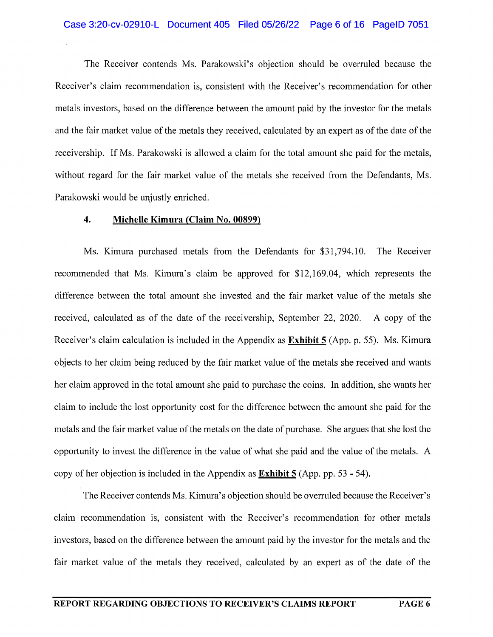### Case 3:20-cv-02910-L Document 405 Filed 05/26/22 Page 6 of 16 PageID 7051

The Receiver contends Ms. Parakowski's objection should be overruled because the Receiver's claim recommendation is, consistent with the Receiver's recommendation for other metals investors, based on the difference between the amount paid by the investor for the metals and the fair market value of the metals they received, calculated by an expert as of the date of the receivership. If Ms. Parakowski is allowed a claim for the total amount she paid for the metals, without regard for the fair market value of the metals she received from the Defendants, Ms. Parakowski would be unjustly enriched.

#### **4. Michelle Kimura (Claim No. 00899)**

Ms. Kimura purchased metals from the Defendants for \$31,794.10. The Receiver recommended that Ms. Kimura's claim be approved for \$12,169.04, which represents the difference between the total amount she invested and the fair market value of the metals she received, calculated as of the date of the receivership, September 22, 2020. A copy of the Receiver's claim calculation is included in the Appendix as **Exhibit 5** (App. p. 55). Ms. Kimura objects to her claim being reduced by the fair market value of the metals she received and wants her claim approved in the total amount she paid to purchase the coins. In addition, she wants her claim to include the lost opportunity cost for the difference between the amount she paid for the metals and the fair market value of the metals on the date of purchase. She argues that she lost the opportunity to invest the difference in the value of what she paid and the value of the metals. A copy of her objection is included in the Appendix as **Exhibit 5** (App. pp. 53 - 54).

The Receiver contends Ms. Kimura's objection should be overruled because the Receiver's claim recommendation is, consistent with the Receiver's recommendation for other metals investors, based on the difference between the amount paid by the investor for the metals and the fair market value of the metals they received, calculated by an expert as of the date of the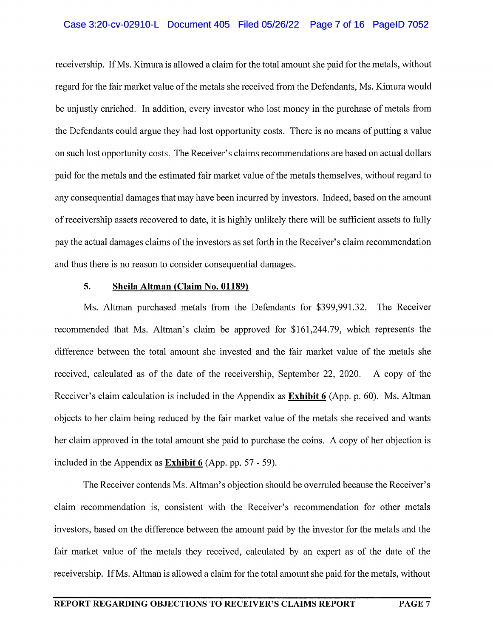### Case 3:20-cv-02910-L Document 405 Filed 05/26/22 Page 7 of 16 PageID 7052

receivership. If Ms. Kimura is allowed a claim for the total amount she paid for the metals, without regard for the fair market value of the metals she received from the Defendants, Ms. Kimura would be unjustly enriched. In addition, every investor who lost money in the purchase of metals from the Defendants could argue they had lost opportunity costs. There is no means of putting a value on such lost opportunity costs. The Receiver's claims recommendations are based on actual dollars paid for the metals and the estimated fair market value of the metals themselves, without regard to any consequential damages that may have been incurred by investors. Indeed, based on the amount of receivership assets recovered to date, it is highly unlikely there will be sufficient assets to fully pay the actual damages claims of the investors as set forth in the Receiver's claim recommendation and thus there is no reason to consider consequential damages.

### **5. Sheila Altman (Claim No. 01189)**

Ms. Altman purchased metals from the Defendants for \$399,991.32. The Receiver recommended that Ms. Altman's claim be approved for \$161,244.79, which represents the difference between the total amount she invested and the fair market value of the metals she received, calculated as of the date of the receivership, September 22, 2020. A copy of the Receiver's claim calculation is included in the Appendix as **Exhibit 6** (App. p. 60). Ms. Altman objects to her claim being reduced by the fair market value of the metals she received and wants her claim approved in the total amount she paid to purchase the coins. A copy of her objection is included in the Appendix as **Exhibit 6** (App. pp. 57 - 59).

The Receiver contends Ms. Altman's objection should be overruled because the Receiver's claim recommendation is, consistent with the Receiver's recommendation for other metals investors, based on the difference between the amount paid by the investor for the metals and the fair market value of the metals they received, calculated by an expert as of the date of the receivership. If Ms. Altman is allowed a claim for the total amount she paid for the metals, without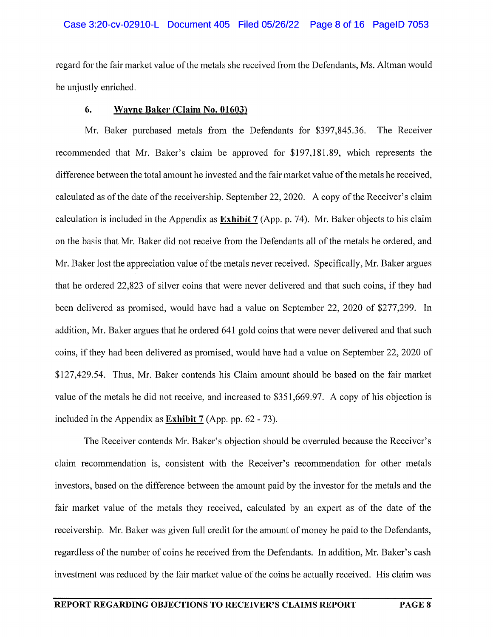### Case 3:20-cv-02910-L Document 405 Filed 05/26/22 Page 8 of 16 PageID 7053

regard for the fair market value of the metals she received from the Defendants, Ms. Altman would be unjustly enriched.

#### **6. Wayne Baker (Claim No. 01603)**

Mr. Baker purchased metals from the Defendants for \$397,845.36. The Receiver recommended that Mr. Baker's claim be approved for \$197,181.89, which represents the difference between the total amount he invested and the fair market value of the metals he received, calculated as of the date of the receivership, September 22, 2020. A copy of the Receiver's claim calculation is included in the Appendix as **Exhibit** 7 (App. p. 74). Mr. Baker objects to his claim on the basis that Mr. Baker did not receive from the Defendants all of the metals he ordered, and Mr. Baker lost the appreciation value of the metals never received. Specifically, Mr. Baker argues that he ordered 22,823 of silver coins that were never delivered and that such coins, if they had been delivered as promised, would have had a value on September 22, 2020 of \$277,299. In addition, Mr. Baker argues that he ordered 641 gold coins that were never delivered and that such coins, if they had been delivered as promised, would have had a value on September 22, 2020 of \$127,429.54. Thus, Mr. Baker contends his Claim amount should be based on the fair market value of the metals he did not receive, and increased to \$351,669.97. A copy of his objection is included in the Appendix as **Exhibit** 7 (App. pp. 62 - 73).

The Receiver contends Mr. Baker's objection should be overruled because the Receiver's claim recommendation is, consistent with the Receiver's recommendation for other metals investors, based on the difference between the amount paid by the investor for the metals and the fair market value of the metals they received, calculated by an expert as of the date of the receivership. Mr. Baker was given full credit for the amount of money he paid to the Defendants, regardless of the number of coins he received from the Defendants. In addition, Mr. Baker's cash investment was reduced by the fair market value of the coins he actually received. His claim was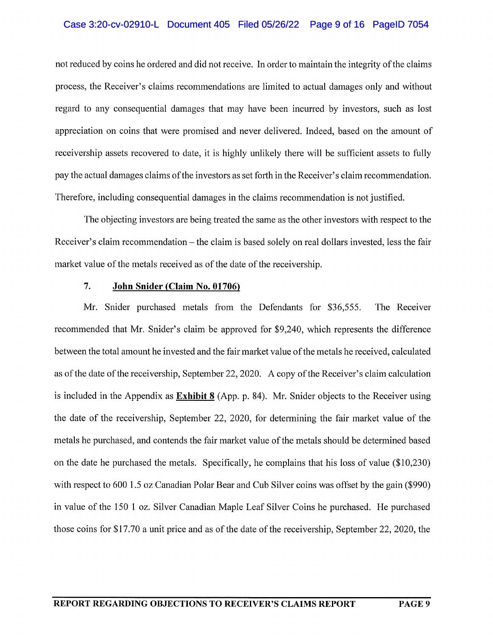## Case 3:20-cv-02910-L Document 405 Filed 05/26/22 Page 9 of 16 PageID 7054

not reduced by coins he ordered and did not receive. In order to maintain the integrity of the claims process, the Receiver's claims recommendations are limited to actual damages only and without regard to any consequential damages that may have been incurred by investors, such as lost appreciation on coins that were promised and never delivered. Indeed, based on the amount of receivership assets recovered to date, it is highly unlikely there will be sufficient assets to fully pay the actual damages claims of the investors as set forth in the Receiver's claim recommendation. Therefore, including consequential damages in the claims recommendation is not justified.

The objecting investors are being treated the same as the other investors with respect to the Receiver's claim recommendation – the claim is based solely on real dollars invested, less the fair market value of the metals received as of the date of the receivership.

#### **7. John Snider (Claim No. 01706)**

Mr. Snider purchased metals from the Defendants for \$36,555. The Receiver recommended that Mr. Snider's claim be approved for \$9,240, which represents the difference between the total amount he invested and the fair market value of the metals he received, calculated as of the date of the receivership, September 22, 2020. A copy of the Receiver's claim calculation is included in the Appendix as **Exhibit 8** (App. p. 84). Mr. Snider objects to the Receiver using the date of the receivership, September 22, 2020, for determining the fair market value of the metals he purchased, and contends the fair market value of the metals should be determined based on the date he purchased the metals. Specifically, he complains that his loss of value (\$10,230) with respect to 600 1.5 oz Canadian Polar Bear and Cub Silver coins was offset by the gain (\$990) in value of the 150 1 oz. Silver Canadian Maple Leaf Silver Coins he purchased. He purchased those coins for \$17.70 a unit price and as of the date of the receivership, September 22, 2020, the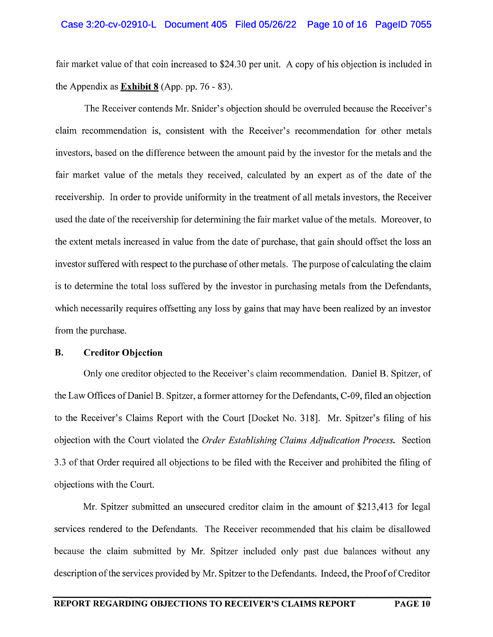#### Case 3:20-cv-02910-L Document 405 Filed 05/26/22 Page 10 of 16 PageID 7055

fair market value of that coin increased to \$24.30 per unit. A copy of his objection is included in the Appendix as **Exhibit 8** (App. pp. 76 - 83).

The Receiver contends Mr. Snider's objection should be overruled because the Receiver's claim recommendation is, consistent with the Receiver's recommendation for other metals investors, based on the difference between the amount paid by the investor for the metals and the fair market value of the metals they received, calculated by an expert as of the date of the receivership. In order to provide uniformity in the treatment of all metals investors, the Receiver used the date of the receivership for determining the fair market value of the metals. Moreover, to the extent metals increased in value from the date of purchase, that gain should offset the loss an investor suffered with respect to the purchase of other metals. The purpose of calculating the claim is to determine the total loss suffered by the investor in purchasing metals from the Defendants, which necessarily requires offsetting any loss by gains that may have been realized by an investor from the purchase.

### **B. Creditor Objection**

Only one creditor objected to the Receiver's claim recommendation. Daniel B. Spitzer, of the Law Offices of Daniel B. Spitzer, a former attorney for the Defendants, C-09, filed an objection to the Receiver's Claims Report with the Court [Docket No. 318]. Mr. Spitzer's filing of his objection with the Court violated the *Order Establishing Claims Adjudication Process.* Section 3.3 of that Order required all objections to be filed with the Receiver and prohibited the filing of objections with the Court.

Mr. Spitzer submitted an unsecured creditor claim in the amount of \$213,413 for legal services rendered to the Defendants. The Receiver recommended that his claim be disallowed because the claim submitted by Mr. Spitzer included only past due balances without any description of the services provided by Mr. Spitzer to the Defendants. Indeed, the Proof of Creditor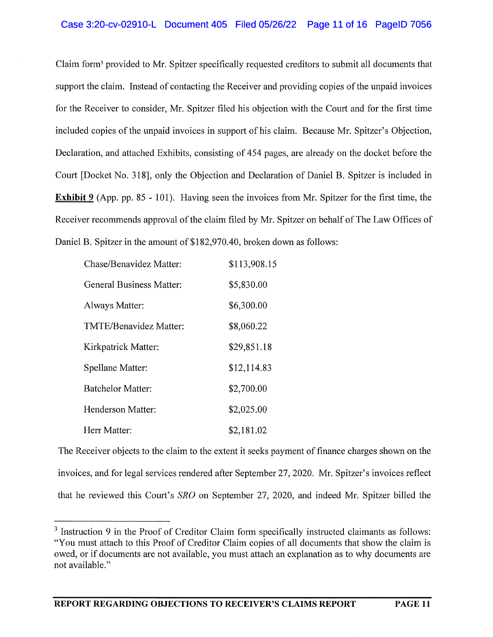## Case 3:20-cv-02910-L Document 405 Filed 05/26/22 Page 11 of 16 PageID 7056

Claim form3 provided to Mr. Spitzer specifically requested creditors to submit all documents that support the claim. Instead of contacting the Receiver and providing copies of the unpaid invoices for the Receiver to consider, Mr. Spitzer filed his objection with the Court and for the first time included copies of the unpaid invoices in support of his claim. Because Mr. Spitzer's Objection, Declaration, and attached Exhibits, consisting of 454 pages, are already on the docket before the Court [Docket No. 318], only the Objection and Declaration of Daniel B. Spitzer is included in **Exhibit 9** (App. pp. 85 - 101). Having seen the invoices from Mr. Spitzer for the first time, the Receiver recommends approval of the claim filed by Mr. Spitzer on behalf of The Law Offices of Daniel B. Spitzer in the amount of \$182,970.40, broken down as follows:

| Chase/Benavidez Matter:  | \$113,908.15 |
|--------------------------|--------------|
| General Business Matter: | \$5,830.00   |
| Always Matter:           | \$6,300.00   |
| TMTE/Benavidez Matter:   | \$8,060.22   |
| Kirkpatrick Matter:      | \$29,851.18  |
| Spellane Matter:         | \$12,114.83  |
| <b>Batchelor Matter:</b> | \$2,700.00   |
| Henderson Matter:        | \$2,025.00   |
| Herr Matter:             | \$2,181.02   |

The Receiver objects to the claim to the extent it seeks payment of finance charges shown on the invoices, and for legal services rendered after September 27, 2020. Mr. Spitzer's invoices reflect that he reviewed this Court's *SRO* on September 27, 2020, and indeed Mr. Spitzer billed the

<sup>&</sup>lt;sup>3</sup> Instruction 9 in the Proof of Creditor Claim form specifically instructed claimants as follows: "You must attach to this Proof of Creditor Claim copies of all documents that show the claim is owed, or if documents are not available, you must attach an explanation as to why documents are not available."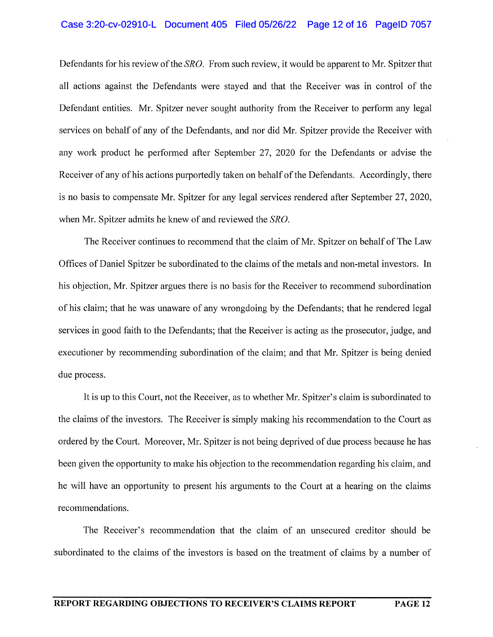#### Case 3:20-cv-02910-L Document 405 Filed 05/26/22 Page 12 of 16 PageID 7057

Defendants for his review of the *SRO.* From such review, it would be apparent to Mr. Spitzer that all actions against the Defendants were stayed and that the Receiver was in control of the Defendant entities. Mr. Spitzer never sought authority from the Receiver to perform any legal services on behalf of any of the Defendants, and nor did Mr. Spitzer provide the Receiver with any work product he performed after September 27, 2020 for the Defendants or advise the Receiver of any of his actions purportedly taken on behalf of the Defendants. Accordingly, there is no basis to compensate Mr. Spitzer for any legal services rendered after September 27, 2020, when Mr. Spitzer admits he knew of and reviewed the *SRO.* 

The Receiver continues to recommend that the claim of Mr. Spitzer on behalf of The Law Offices of Daniel Spitzer be subordinated to the claims of the metals and non-metal investors. In his objection, Mr. Spitzer argues there is no basis for the Receiver to recommend subordination of his claim; that he was unaware of any wrongdoing by the Defendants; that he rendered legal services in good faith to the Defendants; that the Receiver is acting as the prosecutor, judge, and executioner by recommending subordination of the claim; and that Mr. Spitzer is being denied due process.

It is up to this Court, not the Receiver, as to whether Mr. Spitzer's claim is subordinated to the claims of the investors. The Receiver is simply making his recommendation to the Court as ordered by the Court. Moreover, Mr. Spitzer is not being deprived of due process because he has been given the opportunity to make his objection to the recommendation regarding his claim, and he will have an opportunity to present his arguments to the Court at a hearing on the claims recommendations.

The Receiver's recommendation that the claim of an unsecured creditor should be subordinated to the claims of the investors is based on the treatment of claims by a number of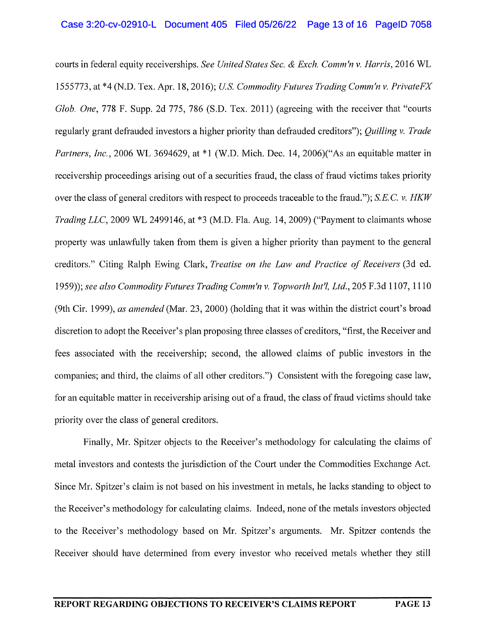courts in federal equity receiverships. *See United States Sec.* & *Exch. Comm'n v. Harris,* 2016 WL 1555773, at \*4 (N.D. Tex. Apr. 18, 2016); *US. Commodity Futures Trading Comm'n v. PrivateFX Glob. One,* 778 F. Supp. 2d 775, 786 (S.D. Tex. 2011) (agreeing with the receiver that "courts regularly grant defrauded investors a higher priority than defrauded creditors"); *Quilling v. Trade Partners, Inc.,* 2006 WL 3694629, at \*1 (W.D. Mich. Dec. 14, 2006)("As an equitable matter in receivership proceedings arising out of a securities fraud, the class of fraud victims takes priority over the class of general creditors with respect to proceeds traceable to the fraud."); S. E. C. *v. HKW Trading LLC,* 2009 WL 2499146, at \*3 (M.D. Fla. Aug. 14, 2009) ("Payment to claimants whose property was unlawfully taken from them is given a higher priority than payment to the general creditors." Citing Ralph Ewing Clark, *Treatise on the Law and Practice of Receivers* (3d ed. 1959)); *see also Commodity Futures Trading Comm'n v. Topworth lnt'l, Ltd.,* 205 F.3d 1107, 1110 (9th Cir. 1999), *as amended* (Mar. 23, 2000) (holding that it was within the district court's broad discretion to adopt the Receiver's plan proposing three classes of creditors, "first, the Receiver and fees associated with the receivership; second, the allowed claims of public investors in the companies; and third, the claims of all other creditors.") Consistent with the foregoing case law, for an equitable matter in receivership arising out of a fraud, the class of fraud victims should take priority over the class of general creditors.

Finally, Mr. Spitzer objects to the Receiver's methodology for calculating the claims of metal investors and contests the jurisdiction of the Court under the Commodities Exchange Act. Since Mr. Spitzer's claim is not based on his investment in metals, he lacks standing to object to the Receiver's methodology for calculating claims. Indeed, none of the metals investors objected to the Receiver's methodology based on Mr. Spitzer's arguments. Mr. Spitzer contends the Receiver should have determined from every investor who received metals whether they still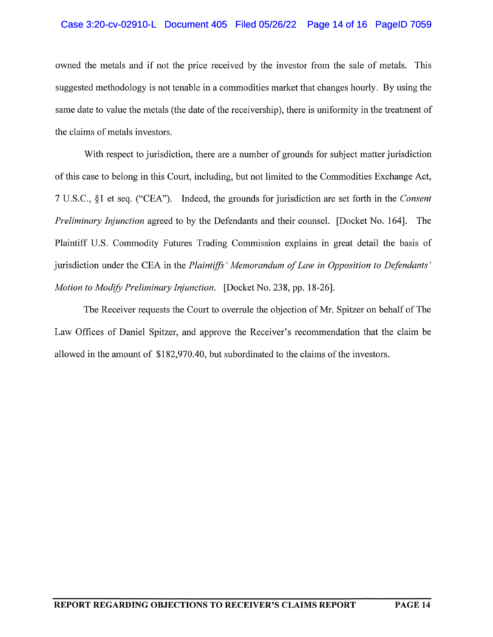## Case 3:20-cv-02910-L Document 405 Filed 05/26/22 Page 14 of 16 PageID 7059

owned the metals and if not the price received by the investor from the sale of metals. This suggested methodology is not tenable in a commodities market that changes hourly. By using the same date to value the metals (the date of the receivership), there is uniformity in the treatment of the claims of metals investors.

With respect to jurisdiction, there are a number of grounds for subject matter jurisdiction of this case to belong in this Court, including, but not limited to the Commodities Exchange Act, 7 U.S.C., §1 et seq. ("CEA"). Indeed, the grounds for jurisdiction are set forth in the *Consent Preliminary Injunction* agreed to by the Defendants and their counsel. [Docket No. 164]. The Plaintiff U.S. Commodity Futures Trading Commission explains in great detail the basis of jurisdiction under the CEA in the *Plaintiffs' Memorandum of Law in Opposition to Defendants' Motion to ModifY Preliminmy Injunction.* [Docket No. 238, pp. 18-26].

The Receiver requests the Court to overrule the objection of Mr. Spitzer on behalf of The Law Offices of Daniel Spitzer, and approve the Receiver's recommendation that the claim be allowed in the amount of \$182,970.40, but subordinated to the claims of the investors.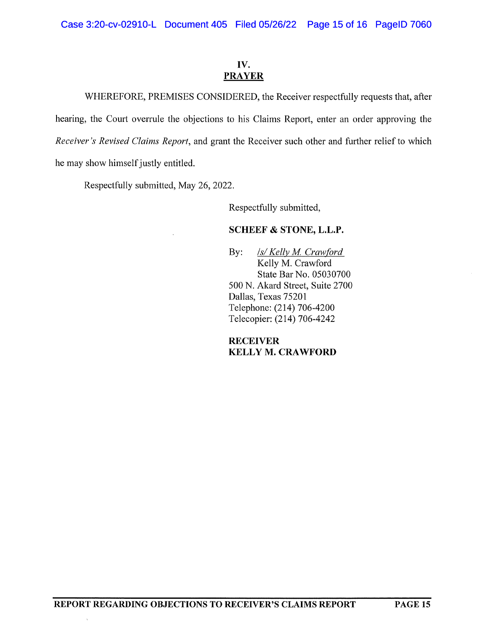# **IV. PRAYER**

WHEREFORE, PREMISES CONSIDERED, the Receiver respectfully requests that, after hearing, the Court overrule the objections to his Claims Report, enter an order approving the *Receiver's Revised Claims Report,* and grant the Receiver such other and further relief to which he may show himself justly entitled.

Respectfully submitted, May 26, 2022.

Respectfully submitted,

# **SCHEEF & STONE, L.L.P.**

By: *Is/Kelly M. Crawford* Kelly M. Crawford State Bar No. 05030700 500 N. Akard Street, Suite 2700 Dallas, Texas 75201 Telephone: (214) 706-4200 Telecopier: (214) 706-4242

**RECEIVER KELLY M. CRAWFORD**